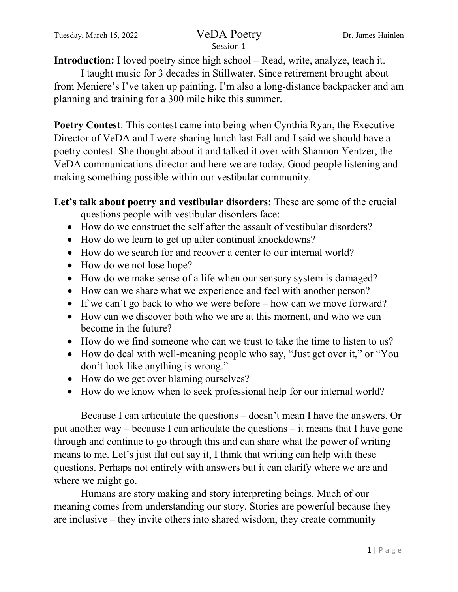# Session 1

**Introduction:** I loved poetry since high school – Read, write, analyze, teach it.

I taught music for 3 decades in Stillwater. Since retirement brought about from Meniere's I've taken up painting. I'm also a long-distance backpacker and am planning and training for a 300 mile hike this summer.

**Poetry Contest**: This contest came into being when Cynthia Ryan, the Executive Director of VeDA and I were sharing lunch last Fall and I said we should have a poetry contest. She thought about it and talked it over with Shannon Yentzer, the VeDA communications director and here we are today. Good people listening and making something possible within our vestibular community.

**Let's talk about poetry and vestibular disorders:** These are some of the crucial questions people with vestibular disorders face:

- How do we construct the self after the assault of vestibular disorders?
- How do we learn to get up after continual knockdowns?
- How do we search for and recover a center to our internal world?
- How do we not lose hope?
- How do we make sense of a life when our sensory system is damaged?
- How can we share what we experience and feel with another person?
- If we can't go back to who we were before how can we move forward?
- How can we discover both who we are at this moment, and who we can become in the future?
- How do we find someone who can we trust to take the time to listen to us?
- How do deal with well-meaning people who say, "Just get over it," or "You don't look like anything is wrong."
- How do we get over blaming ourselves?
- How do we know when to seek professional help for our internal world?

Because I can articulate the questions – doesn't mean I have the answers. Or put another way – because I can articulate the questions – it means that I have gone through and continue to go through this and can share what the power of writing means to me. Let's just flat out say it, I think that writing can help with these questions. Perhaps not entirely with answers but it can clarify where we are and where we might go.

Humans are story making and story interpreting beings. Much of our meaning comes from understanding our story. Stories are powerful because they are inclusive – they invite others into shared wisdom, they create community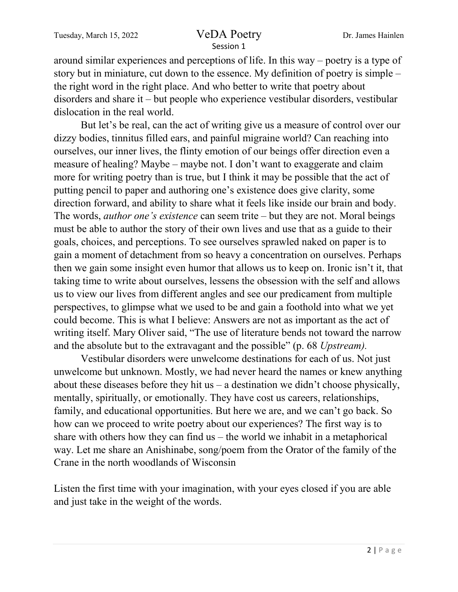## Session 1

around similar experiences and perceptions of life. In this way – poetry is a type of story but in miniature, cut down to the essence. My definition of poetry is simple – the right word in the right place. And who better to write that poetry about disorders and share it – but people who experience vestibular disorders, vestibular dislocation in the real world.

But let's be real, can the act of writing give us a measure of control over our dizzy bodies, tinnitus filled ears, and painful migraine world? Can reaching into ourselves, our inner lives, the flinty emotion of our beings offer direction even a measure of healing? Maybe – maybe not. I don't want to exaggerate and claim more for writing poetry than is true, but I think it may be possible that the act of putting pencil to paper and authoring one's existence does give clarity, some direction forward, and ability to share what it feels like inside our brain and body. The words, *author one's existence* can seem trite – but they are not. Moral beings must be able to author the story of their own lives and use that as a guide to their goals, choices, and perceptions. To see ourselves sprawled naked on paper is to gain a moment of detachment from so heavy a concentration on ourselves. Perhaps then we gain some insight even humor that allows us to keep on. Ironic isn't it, that taking time to write about ourselves, lessens the obsession with the self and allows us to view our lives from different angles and see our predicament from multiple perspectives, to glimpse what we used to be and gain a foothold into what we yet could become. This is what I believe: Answers are not as important as the act of writing itself. Mary Oliver said, "The use of literature bends not toward the narrow and the absolute but to the extravagant and the possible" (p. 68 *Upstream).*

Vestibular disorders were unwelcome destinations for each of us. Not just unwelcome but unknown. Mostly, we had never heard the names or knew anything about these diseases before they hit us  $-$  a destination we didn't choose physically, mentally, spiritually, or emotionally. They have cost us careers, relationships, family, and educational opportunities. But here we are, and we can't go back. So how can we proceed to write poetry about our experiences? The first way is to share with others how they can find  $us$  – the world we inhabit in a metaphorical way. Let me share an Anishinabe, song/poem from the Orator of the family of the Crane in the north woodlands of Wisconsin

Listen the first time with your imagination, with your eyes closed if you are able and just take in the weight of the words.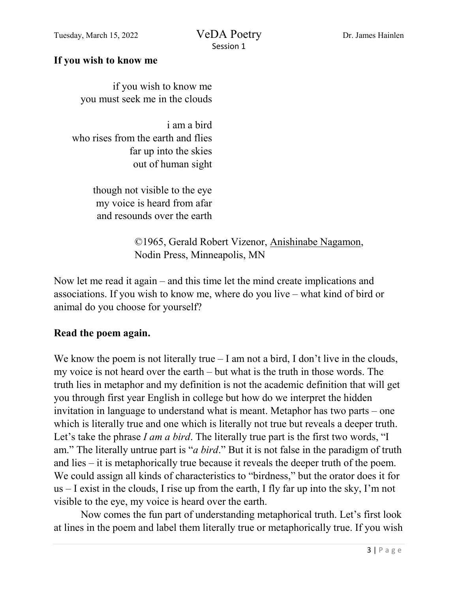#### **If you wish to know me**

if you wish to know me you must seek me in the clouds

i am a bird who rises from the earth and flies far up into the skies out of human sight

> though not visible to the eye my voice is heard from afar and resounds over the earth

> > ©1965, Gerald Robert Vizenor, Anishinabe Nagamon, Nodin Press, Minneapolis, MN

Now let me read it again – and this time let the mind create implications and associations. If you wish to know me, where do you live – what kind of bird or animal do you choose for yourself?

#### **Read the poem again.**

We know the poem is not literally true – I am not a bird, I don't live in the clouds, my voice is not heard over the earth – but what is the truth in those words. The truth lies in metaphor and my definition is not the academic definition that will get you through first year English in college but how do we interpret the hidden invitation in language to understand what is meant. Metaphor has two parts – one which is literally true and one which is literally not true but reveals a deeper truth. Let's take the phrase *I am a bird*. The literally true part is the first two words, "I am." The literally untrue part is "*a bird*." But it is not false in the paradigm of truth and lies – it is metaphorically true because it reveals the deeper truth of the poem. We could assign all kinds of characteristics to "birdness," but the orator does it for us – I exist in the clouds, I rise up from the earth, I fly far up into the sky, I'm not visible to the eye, my voice is heard over the earth.

Now comes the fun part of understanding metaphorical truth. Let's first look at lines in the poem and label them literally true or metaphorically true. If you wish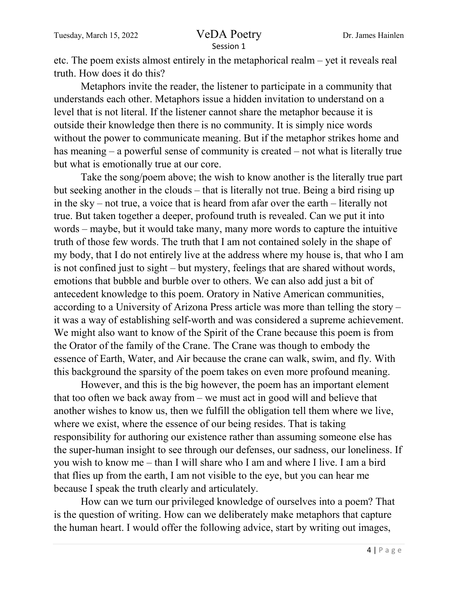### Session 1

etc. The poem exists almost entirely in the metaphorical realm – yet it reveals real truth. How does it do this?

Metaphors invite the reader, the listener to participate in a community that understands each other. Metaphors issue a hidden invitation to understand on a level that is not literal. If the listener cannot share the metaphor because it is outside their knowledge then there is no community. It is simply nice words without the power to communicate meaning. But if the metaphor strikes home and has meaning – a powerful sense of community is created – not what is literally true but what is emotionally true at our core.

Take the song/poem above; the wish to know another is the literally true part but seeking another in the clouds – that is literally not true. Being a bird rising up in the sky – not true, a voice that is heard from afar over the earth – literally not true. But taken together a deeper, profound truth is revealed. Can we put it into words – maybe, but it would take many, many more words to capture the intuitive truth of those few words. The truth that I am not contained solely in the shape of my body, that I do not entirely live at the address where my house is, that who I am is not confined just to sight – but mystery, feelings that are shared without words, emotions that bubble and burble over to others. We can also add just a bit of antecedent knowledge to this poem. Oratory in Native American communities, according to a University of Arizona Press article was more than telling the story – it was a way of establishing self-worth and was considered a supreme achievement. We might also want to know of the Spirit of the Crane because this poem is from the Orator of the family of the Crane. The Crane was though to embody the essence of Earth, Water, and Air because the crane can walk, swim, and fly. With this background the sparsity of the poem takes on even more profound meaning.

However, and this is the big however, the poem has an important element that too often we back away from – we must act in good will and believe that another wishes to know us, then we fulfill the obligation tell them where we live, where we exist, where the essence of our being resides. That is taking responsibility for authoring our existence rather than assuming someone else has the super-human insight to see through our defenses, our sadness, our loneliness. If you wish to know me – than I will share who I am and where I live. I am a bird that flies up from the earth, I am not visible to the eye, but you can hear me because I speak the truth clearly and articulately.

How can we turn our privileged knowledge of ourselves into a poem? That is the question of writing. How can we deliberately make metaphors that capture the human heart. I would offer the following advice, start by writing out images,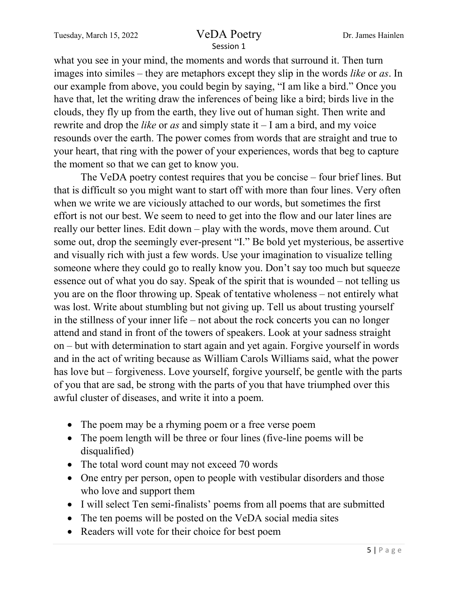Tuesday, March 15, 2022 VeDA Poetry Dr. James Hainlen

# Session 1

what you see in your mind, the moments and words that surround it. Then turn images into similes – they are metaphors except they slip in the words *like* or *as*. In our example from above, you could begin by saying, "I am like a bird." Once you have that, let the writing draw the inferences of being like a bird; birds live in the clouds, they fly up from the earth, they live out of human sight. Then write and rewrite and drop the *like* or *as* and simply state it – I am a bird, and my voice resounds over the earth. The power comes from words that are straight and true to your heart, that ring with the power of your experiences, words that beg to capture the moment so that we can get to know you.

The VeDA poetry contest requires that you be concise – four brief lines. But that is difficult so you might want to start off with more than four lines. Very often when we write we are viciously attached to our words, but sometimes the first effort is not our best. We seem to need to get into the flow and our later lines are really our better lines. Edit down – play with the words, move them around. Cut some out, drop the seemingly ever-present "I." Be bold yet mysterious, be assertive and visually rich with just a few words. Use your imagination to visualize telling someone where they could go to really know you. Don't say too much but squeeze essence out of what you do say. Speak of the spirit that is wounded – not telling us you are on the floor throwing up. Speak of tentative wholeness – not entirely what was lost. Write about stumbling but not giving up. Tell us about trusting yourself in the stillness of your inner life – not about the rock concerts you can no longer attend and stand in front of the towers of speakers. Look at your sadness straight on – but with determination to start again and yet again. Forgive yourself in words and in the act of writing because as William Carols Williams said, what the power has love but – forgiveness. Love yourself, forgive yourself, be gentle with the parts of you that are sad, be strong with the parts of you that have triumphed over this awful cluster of diseases, and write it into a poem.

- The poem may be a rhyming poem or a free verse poem
- The poem length will be three or four lines (five-line poems will be disqualified)
- The total word count may not exceed 70 words
- One entry per person, open to people with vestibular disorders and those who love and support them
- I will select Ten semi-finalists' poems from all poems that are submitted
- The ten poems will be posted on the VeDA social media sites
- Readers will vote for their choice for best poem